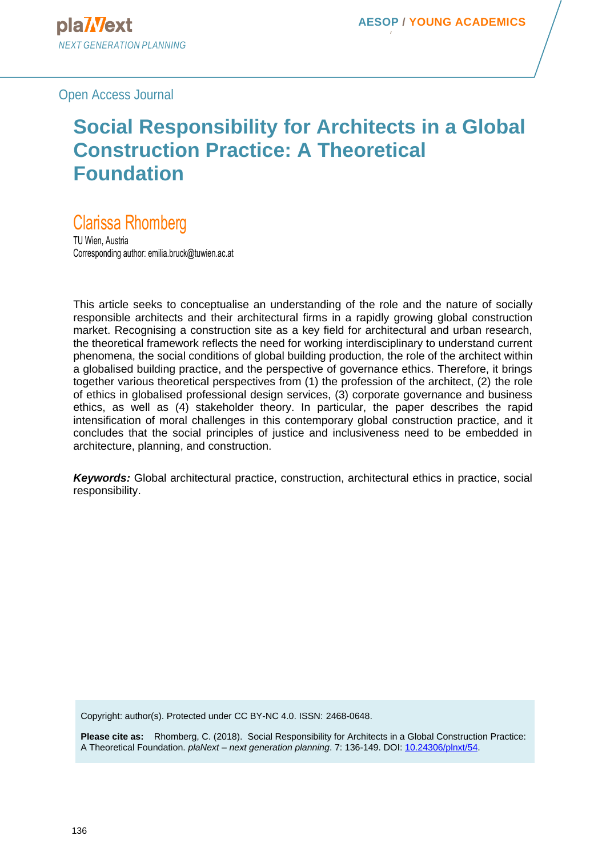Open Access Journal

# **Social Responsibility for Architects in a Global Construction Practice: A Theoretical Foundation**

# Clarissa Rhomberg

TU Wien, Austria Corresponding author: emilia.bruck@tuwien.ac.at

This article seeks to conceptualise an understanding of the role and the nature of socially responsible architects and their architectural firms in a rapidly growing global construction market. Recognising a construction site as a key field for architectural and urban research, the theoretical framework reflects the need for working interdisciplinary to understand current phenomena, the social conditions of global building production, the role of the architect within a globalised building practice, and the perspective of governance ethics. Therefore, it brings together various theoretical perspectives from (1) the profession of the architect, (2) the role of ethics in globalised professional design services, (3) corporate governance and business ethics, as well as (4) stakeholder theory. In particular, the paper describes the rapid intensification of moral challenges in this contemporary global construction practice, and it concludes that the social principles of justice and inclusiveness need to be embedded in architecture, planning, and construction.

*Keywords:* Global architectural practice, construction, architectural ethics in practice, social responsibility.

Copyright: author(s). Protected under CC BY-NC 4.0. ISSN: 2468-0648.

**Please cite as:** Rhomberg, C. (2018). Social Responsibility for Architects in a Global Construction Practice: A Theoretical Foundation. *plaNext – next generation planning*. 7: 136-149. DOI: [10.24306/plnxt/54.](http://dx.doi.org/10.24306/plnxt/54)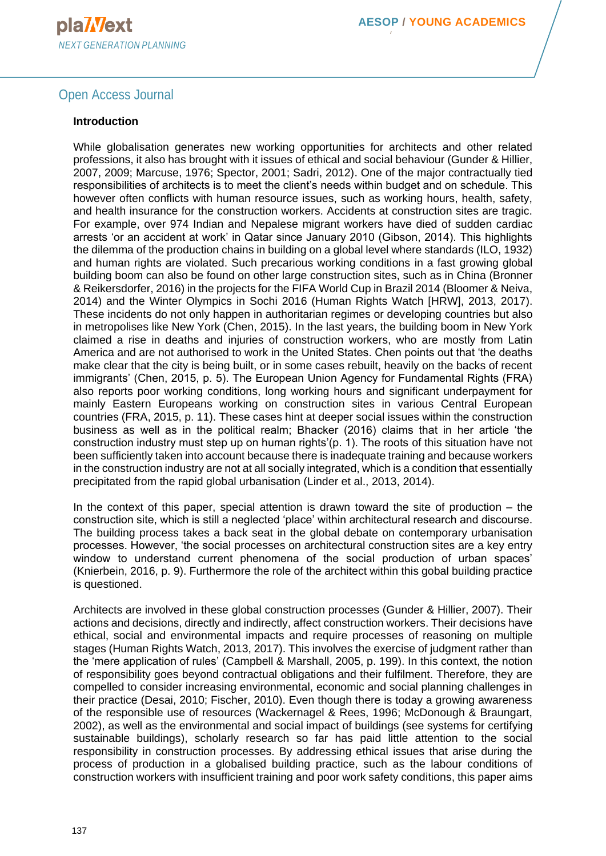## Open Access Journal

#### **Introduction**

While globalisation generates new working opportunities for architects and other related professions, it also has brought with it issues of ethical and social behaviour (Gunder & Hillier, 2007, 2009; Marcuse, 1976; Spector, 2001; Sadri, 2012). One of the major contractually tied responsibilities of architects is to meet the client's needs within budget and on schedule. This however often conflicts with human resource issues, such as working hours, health, safety, and health insurance for the construction workers. Accidents at construction sites are tragic. For example, over 974 Indian and Nepalese migrant workers have died of sudden cardiac arrests 'or an accident at work' in Qatar since January 2010 (Gibson, 2014). This highlights the dilemma of the production chains in building on a global level where standards (ILO, 1932) and human rights are violated. Such precarious working conditions in a fast growing global building boom can also be found on other large construction sites, such as in China (Bronner & Reikersdorfer, 2016) in the projects for the FIFA World Cup in Brazil 2014 (Bloomer & Neiva, 2014) and the Winter Olympics in Sochi 2016 (Human Rights Watch [HRW], 2013, 2017). These incidents do not only happen in authoritarian regimes or developing countries but also in metropolises like New York (Chen, 2015). In the last years, the building boom in New York claimed a rise in deaths and injuries of construction workers, who are mostly from Latin America and are not authorised to work in the United States. Chen points out that 'the deaths make clear that the city is being built, or in some cases rebuilt, heavily on the backs of recent immigrants' (Chen, 2015, p. 5). The European Union Agency for Fundamental Rights (FRA) also reports poor working conditions, long working hours and significant underpayment for mainly Eastern Europeans working on construction sites in various Central European countries (FRA, 2015, p. 11). These cases hint at deeper social issues within the construction business as well as in the political realm; Bhacker (2016) claims that in her article 'the construction industry must step up on human rights'(p. 1). The roots of this situation have not been sufficiently taken into account because there is inadequate training and because workers in the construction industry are not at all socially integrated, which is a condition that essentially precipitated from the rapid global urbanisation (Linder et al., 2013, 2014).

In the context of this paper, special attention is drawn toward the site of production  $-$  the construction site, which is still a neglected 'place' within architectural research and discourse. The building process takes a back seat in the global debate on contemporary urbanisation processes. However, 'the social processes on architectural construction sites are a key entry window to understand current phenomena of the social production of urban spaces' (Knierbein, 2016, p. 9). Furthermore the role of the architect within this gobal building practice is questioned.

Architects are involved in these global construction processes (Gunder & Hillier, 2007). Their actions and decisions, directly and indirectly, affect construction workers. Their decisions have ethical, social and environmental impacts and require processes of reasoning on multiple stages (Human Rights Watch, 2013, 2017). This involves the exercise of judgment rather than the 'mere application of rules' (Campbell & Marshall, 2005, p. 199). In this context, the notion of responsibility goes beyond contractual obligations and their fulfilment. Therefore, they are compelled to consider increasing environmental, economic and social planning challenges in their practice (Desai, 2010; Fischer, 2010). Even though there is today a growing awareness of the responsible use of resources (Wackernagel & Rees, 1996; McDonough & Braungart, 2002), as well as the environmental and social impact of buildings (see systems for certifying sustainable buildings), scholarly research so far has paid little attention to the social responsibility in construction processes. By addressing ethical issues that arise during the process of production in a globalised building practice, such as the labour conditions of construction workers with insufficient training and poor work safety conditions, this paper aims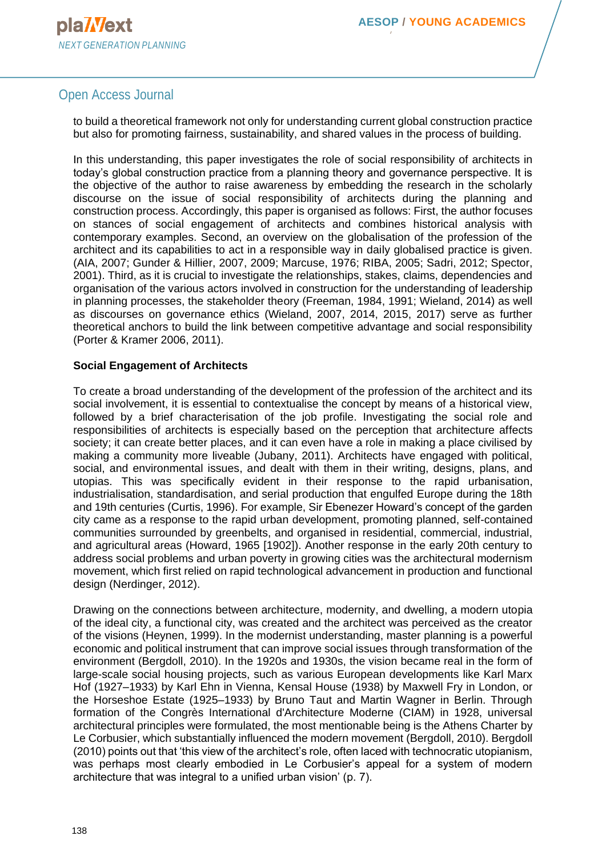# Open Access Journal

to build a theoretical framework not only for understanding current global construction practice but also for promoting fairness, sustainability, and shared values in the process of building.

In this understanding, this paper investigates the role of social responsibility of architects in today's global construction practice from a planning theory and governance perspective. It is the objective of the author to raise awareness by embedding the research in the scholarly discourse on the issue of social responsibility of architects during the planning and construction process. Accordingly, this paper is organised as follows: First, the author focuses on stances of social engagement of architects and combines historical analysis with contemporary examples. Second, an overview on the globalisation of the profession of the architect and its capabilities to act in a responsible way in daily globalised practice is given. (AIA, 2007; Gunder & Hillier, 2007, 2009; Marcuse, 1976; RIBA, 2005; Sadri, 2012; Spector, 2001). Third, as it is crucial to investigate the relationships, stakes, claims, dependencies and organisation of the various actors involved in construction for the understanding of leadership in planning processes, the stakeholder theory (Freeman, 1984, 1991; Wieland, 2014) as well as discourses on governance ethics (Wieland, 2007, 2014, 2015, 2017) serve as further theoretical anchors to build the link between competitive advantage and social responsibility (Porter & Kramer 2006, 2011).

#### **Social Engagement of Architects**

To create a broad understanding of the development of the profession of the architect and its social involvement, it is essential to contextualise the concept by means of a historical view, followed by a brief characterisation of the job profile. Investigating the social role and responsibilities of architects is especially based on the perception that architecture affects society; it can create better places, and it can even have a role in making a place civilised by making a community more liveable (Jubany, 2011). Architects have engaged with political, social, and environmental issues, and dealt with them in their writing, designs, plans, and utopias. This was specifically evident in their response to the rapid urbanisation, industrialisation, standardisation, and serial production that engulfed Europe during the 18th and 19th centuries (Curtis, 1996). For example, Sir Ebenezer Howard's concept of the garden city came as a response to the rapid urban development, promoting planned, self-contained communities surrounded by greenbelts, and organised in residential, commercial, industrial, and agricultural areas (Howard, 1965 [1902]). Another response in the early 20th century to address social problems and urban poverty in growing cities was the architectural modernism movement, which first relied on rapid technological advancement in production and functional design (Nerdinger, 2012).

Drawing on the connections between architecture, modernity, and dwelling, a modern utopia of the ideal city, a functional city, was created and the architect was perceived as the creator of the visions (Heynen, 1999). In the modernist understanding, master planning is a powerful economic and political instrument that can improve social issues through transformation of the environment (Bergdoll, 2010). In the 1920s and 1930s, the vision became real in the form of large-scale social housing projects, such as various European developments like Karl Marx Hof (1927–1933) by Karl Ehn in Vienna, Kensal House (1938) by Maxwell Fry in London, or the Horseshoe Estate (1925–1933) by Bruno Taut and Martin Wagner in Berlin. Through formation of the Congrès International d'Architecture Moderne (CIAM) in 1928, universal architectural principles were formulated, the most mentionable being is the Athens Charter by Le Corbusier, which substantially influenced the modern movement (Bergdoll, 2010). Bergdoll (2010) points out that 'this view of the architect's role, often laced with technocratic utopianism, was perhaps most clearly embodied in Le Corbusier's appeal for a system of modern architecture that was integral to a unified urban vision' (p. 7).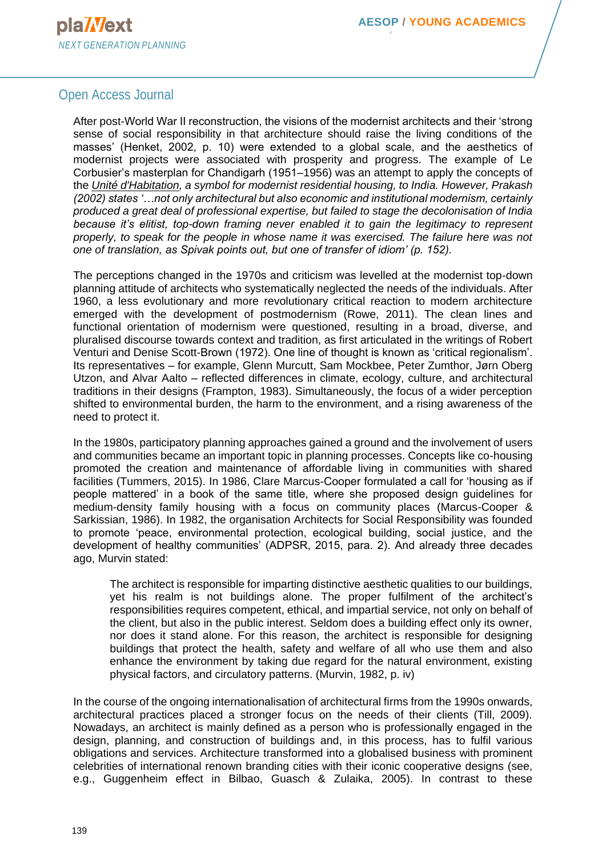# Open Access Journal

After post-World War II reconstruction, the visions of the modernist architects and their 'strong sense of social responsibility in that architecture should raise the living conditions of the masses' (Henket, 2002, p. 10) were extended to a global scale, and the aesthetics of modernist projects were associated with prosperity and progress. The example of Le Corbusier's masterplan for Chandigarh (1951–1956) was an attempt to apply the concepts of the *[Unité d'Habitation,](http://www.archdaily.com/85971/ad-classics-unite-d-habitation-le-corbusier) a symbol for modernist residential housing, to India. However, Prakash (2002) states '…not only architectural but also economic and institutional modernism, certainly produced a great deal of professional expertise, but failed to stage the decolonisation of India because it's elitist, top-down framing never enabled it to gain the legitimacy to represent properly, to speak for the people in whose name it was exercised. The failure here was not one of translation, as Spivak points out, but one of transfer of idiom' (p. 152).*

The perceptions changed in the 1970s and criticism was levelled at the modernist top-down planning attitude of architects who systematically neglected the needs of the individuals. After 1960, a less evolutionary and more revolutionary critical reaction to modern architecture emerged with the development of postmodernism (Rowe, 2011). The clean lines and functional orientation of modernism were questioned, resulting in a broad, diverse, and pluralised discourse towards context and tradition, as first articulated in the writings of Robert Venturi and Denise Scott-Brown (1972). One line of thought is known as 'critical regionalism'. Its representatives – for example, Glenn Murcutt, Sam Mockbee, Peter Zumthor, Jørn Oberg Utzon, and Alvar Aalto – reflected differences in climate, ecology, culture, and architectural traditions in their designs (Frampton, 1983). Simultaneously, the focus of a wider perception shifted to environmental burden, the harm to the environment, and a rising awareness of the need to protect it.

In the 1980s, participatory planning approaches gained a ground and the involvement of users and communities became an important topic in planning processes. Concepts like co-housing promoted the creation and maintenance of affordable living in communities with shared facilities (Tummers, 2015). In 1986, Clare Marcus-Cooper formulated a call for 'housing as if people mattered' in a book of the same title, where she proposed design guidelines for medium-density family housing with a focus on community places (Marcus-Cooper & Sarkissian, 1986). In 1982, the organisation Architects for Social Responsibility was founded to promote 'peace, environmental protection, ecological building, social justice, and the development of healthy communities' (ADPSR, 2015, para. 2). And already three decades ago, Murvin stated:

The architect is responsible for imparting distinctive aesthetic qualities to our buildings, yet his realm is not buildings alone. The proper fulfilment of the architect's responsibilities requires competent, ethical, and impartial service, not only on behalf of the client, but also in the public interest. Seldom does a building effect only its owner, nor does it stand alone. For this reason, the architect is responsible for designing buildings that protect the health, safety and welfare of all who use them and also enhance the environment by taking due regard for the natural environment, existing physical factors, and circulatory patterns. (Murvin, 1982, p. iv)

In the course of the ongoing internationalisation of architectural firms from the 1990s onwards, architectural practices placed a stronger focus on the needs of their clients (Till, 2009). Nowadays, an architect is mainly defined as a person who is professionally engaged in the design, planning, and construction of buildings and, in this process, has to fulfil various obligations and services. Architecture transformed into a globalised business with prominent celebrities of international renown branding cities with their iconic cooperative designs (see, e.g., Guggenheim effect in Bilbao, Guasch & Zulaika, 2005). In contrast to these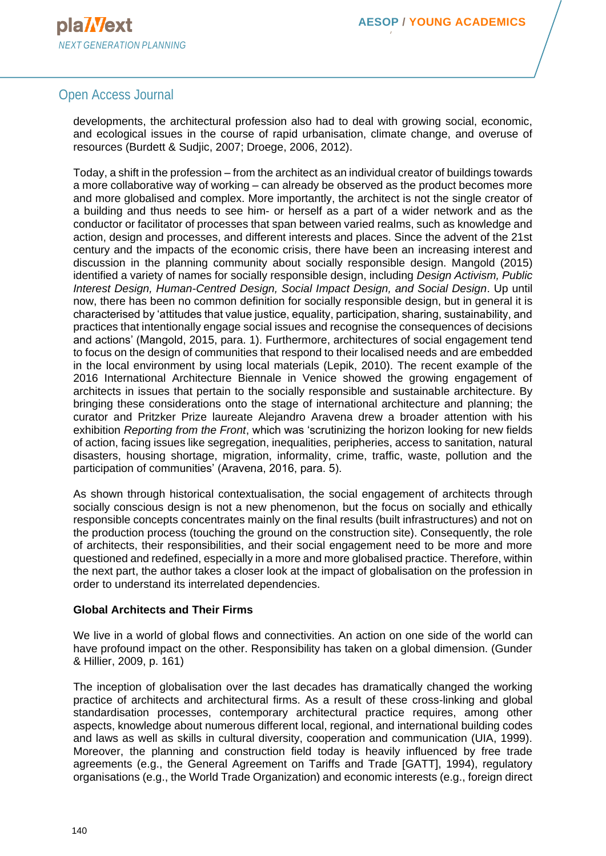# Open Access Journal

developments, the architectural profession also had to deal with growing social, economic, and ecological issues in the course of rapid urbanisation, climate change, and overuse of resources (Burdett & Sudjic, 2007; Droege, 2006, 2012).

Today, a shift in the profession – from the architect as an individual creator of buildings towards a more collaborative way of working – can already be observed as the product becomes more and more globalised and complex. More importantly, the architect is not the single creator of a building and thus needs to see him- or herself as a part of a wider network and as the conductor or facilitator of processes that span between varied realms, such as knowledge and action, design and processes, and different interests and places. Since the advent of the 21st century and the impacts of the economic crisis, there have been an increasing interest and discussion in the planning community about socially responsible design. Mangold (2015) identified a variety of names for socially responsible design, including *Design Activism, Public Interest Design, Human-Centred Design, Social Impact Design, and Social Design*. Up until now, there has been no common definition for socially responsible design, but in general it is characterised by 'attitudes that value justice, equality, participation, sharing, sustainability, and practices that intentionally engage social issues and recognise the consequences of decisions and actions' (Mangold, 2015, para. 1). Furthermore, architectures of social engagement tend to focus on the design of communities that respond to their localised needs and are embedded in the local environment by using local materials (Lepik, 2010). The recent example of the 2016 International Architecture Biennale in Venice showed the growing engagement of architects in issues that pertain to the socially responsible and sustainable architecture. By bringing these considerations onto the stage of international architecture and planning; the curator and Pritzker Prize laureate Alejandro Aravena drew a broader attention with his exhibition *Reporting from the Front*, which was 'scrutinizing the horizon looking for new fields of action, facing issues like segregation, inequalities, peripheries, access to sanitation, natural disasters, housing shortage, migration, informality, crime, traffic, waste, pollution and the participation of communities' (Aravena, 2016, para. 5).

As shown through historical contextualisation, the social engagement of architects through socially conscious design is not a new phenomenon, but the focus on socially and ethically responsible concepts concentrates mainly on the final results (built infrastructures) and not on the production process (touching the ground on the construction site). Consequently, the role of architects, their responsibilities, and their social engagement need to be more and more questioned and redefined, especially in a more and more globalised practice. Therefore, within the next part, the author takes a closer look at the impact of globalisation on the profession in order to understand its interrelated dependencies.

## **Global Architects and Their Firms**

We live in a world of global flows and connectivities. An action on one side of the world can have profound impact on the other. Responsibility has taken on a global dimension. (Gunder & Hillier, 2009, p. 161)

The inception of globalisation over the last decades has dramatically changed the working practice of architects and architectural firms. As a result of these cross-linking and global standardisation processes, contemporary architectural practice requires, among other aspects, knowledge about numerous different local, regional, and international building codes and laws as well as skills in cultural diversity, cooperation and communication (UIA, 1999). Moreover, the planning and construction field today is heavily influenced by free trade agreements (e.g., the General Agreement on Tariffs and Trade [GATT], 1994), regulatory organisations (e.g., the World Trade Organization) and economic interests (e.g., foreign direct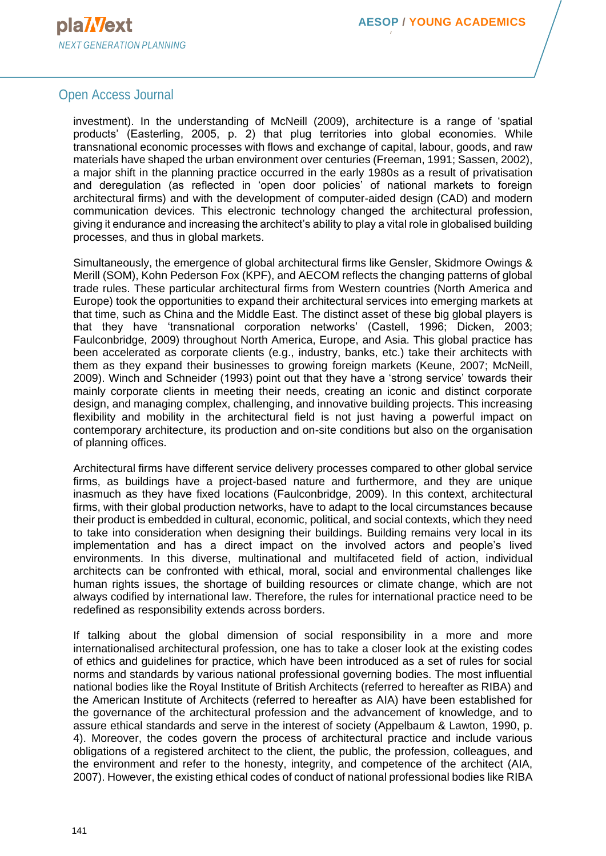

## Open Access Journal

investment). In the understanding of McNeill (2009), architecture is a range of 'spatial products' (Easterling, 2005, p. 2) that plug territories into global economies. While transnational economic processes with flows and exchange of capital, labour, goods, and raw materials have shaped the urban environment over centuries (Freeman, 1991; Sassen, 2002), a major shift in the planning practice occurred in the early 1980s as a result of privatisation and deregulation (as reflected in 'open door policies' of national markets to foreign architectural firms) and with the development of computer-aided design (CAD) and modern communication devices. This electronic technology changed the architectural profession, giving it endurance and increasing the architect's ability to play a vital role in globalised building processes, and thus in global markets.

Simultaneously, the emergence of global architectural firms like Gensler, Skidmore Owings & Merill (SOM), Kohn Pederson Fox (KPF), and AECOM reflects the changing patterns of global trade rules. These particular architectural firms from Western countries (North America and Europe) took the opportunities to expand their architectural services into emerging markets at that time, such as China and the Middle East. The distinct asset of these big global players is that they have 'transnational corporation networks' (Castell, 1996; Dicken, 2003; Faulconbridge, 2009) throughout North America, Europe, and Asia. This global practice has been accelerated as corporate clients (e.g., industry, banks, etc.) take their architects with them as they expand their businesses to growing foreign markets (Keune, 2007; McNeill, 2009). Winch and Schneider (1993) point out that they have a 'strong service' towards their mainly corporate clients in meeting their needs, creating an iconic and distinct corporate design, and managing complex, challenging, and innovative building projects. This increasing flexibility and mobility in the architectural field is not just having a powerful impact on contemporary architecture, its production and on-site conditions but also on the organisation of planning offices.

Architectural firms have different service delivery processes compared to other global service firms, as buildings have a project-based nature and furthermore, and they are unique inasmuch as they have fixed locations (Faulconbridge, 2009). In this context, architectural firms, with their global production networks, have to adapt to the local circumstances because their product is embedded in cultural, economic, political, and social contexts, which they need to take into consideration when designing their buildings. Building remains very local in its implementation and has a direct impact on the involved actors and people's lived environments. In this diverse, multinational and multifaceted field of action, individual architects can be confronted with ethical, moral, social and environmental challenges like human rights issues, the shortage of building resources or climate change, which are not always codified by international law. Therefore, the rules for international practice need to be redefined as responsibility extends across borders.

If talking about the global dimension of social responsibility in a more and more internationalised architectural profession, one has to take a closer look at the existing codes of ethics and guidelines for practice, which have been introduced as a set of rules for social norms and standards by various national professional governing bodies. The most influential national bodies like the Royal Institute of British Architects (referred to hereafter as RIBA) and the American Institute of Architects (referred to hereafter as AIA) have been established for the governance of the architectural profession and the advancement of knowledge, and to assure ethical standards and serve in the interest of society (Appelbaum & Lawton, 1990, p. 4). Moreover, the codes govern the process of architectural practice and include various obligations of a registered architect to the client, the public, the profession, colleagues, and the environment and refer to the honesty, integrity, and competence of the architect (AIA, 2007). However, the existing ethical codes of conduct of national professional bodies like RIBA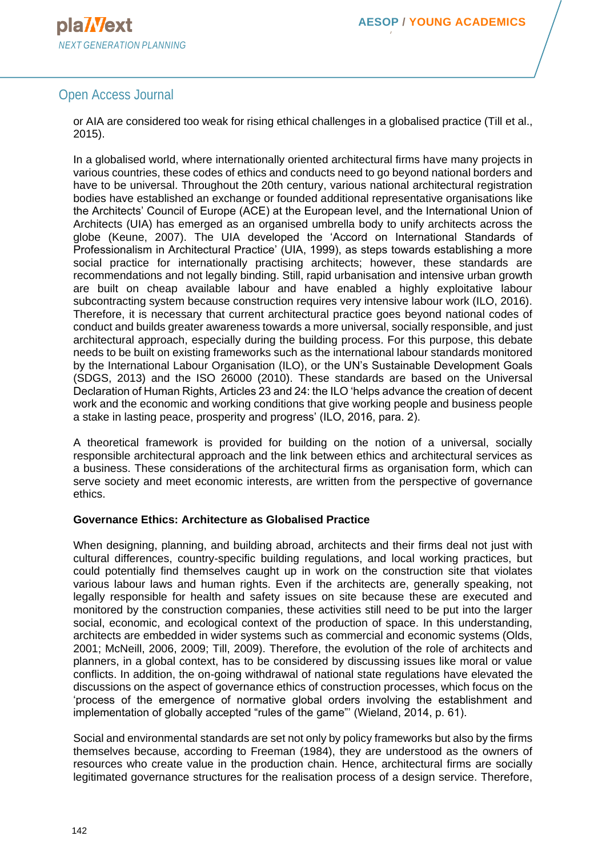# Open Access Journal

or AIA are considered too weak for rising ethical challenges in a globalised practice (Till et al., 2015).

In a globalised world, where internationally oriented architectural firms have many projects in various countries, these codes of ethics and conducts need to go beyond national borders and have to be universal. Throughout the 20th century, various national architectural registration bodies have established an exchange or founded additional representative organisations like the Architects' Council of Europe (ACE) at the European level, and the International Union of Architects (UIA) has emerged as an organised umbrella body to unify architects across the globe (Keune, 2007). The UIA developed the 'Accord on International Standards of Professionalism in Architectural Practice' (UIA, 1999), as steps towards establishing a more social practice for internationally practising architects; however, these standards are recommendations and not legally binding. Still, rapid urbanisation and intensive urban growth are built on cheap available labour and have enabled a highly exploitative labour subcontracting system because construction requires very intensive labour work (ILO, 2016). Therefore, it is necessary that current architectural practice goes beyond national codes of conduct and builds greater awareness towards a more universal, socially responsible, and just architectural approach, especially during the building process. For this purpose, this debate needs to be built on existing frameworks such as the international labour standards monitored by the International Labour Organisation (ILO), or the UN's Sustainable Development Goals (SDGS, 2013) and the ISO 26000 (2010). These standards are based on the Universal Declaration of Human Rights, Articles 23 and 24: the ILO 'helps advance the creation of decent work and the economic and working conditions that give working people and business people a stake in lasting peace, prosperity and progress' (ILO, 2016, para. 2).

A theoretical framework is provided for building on the notion of a universal, socially responsible architectural approach and the link between ethics and architectural services as a business. These considerations of the architectural firms as organisation form, which can serve society and meet economic interests, are written from the perspective of governance ethics.

## **Governance Ethics: Architecture as Globalised Practice**

When designing, planning, and building abroad, architects and their firms deal not just with cultural differences, country-specific building regulations, and local working practices, but could potentially find themselves caught up in work on the construction site that violates various labour laws and human rights. Even if the architects are, generally speaking, not legally responsible for health and safety issues on site because these are executed and monitored by the construction companies, these activities still need to be put into the larger social, economic, and ecological context of the production of space. In this understanding, architects are embedded in wider systems such as commercial and economic systems (Olds, 2001; McNeill, 2006, 2009; Till, 2009). Therefore, the evolution of the role of architects and planners, in a global context, has to be considered by discussing issues like moral or value conflicts. In addition, the on-going withdrawal of national state regulations have elevated the discussions on the aspect of governance ethics of construction processes, which focus on the 'process of the emergence of normative global orders involving the establishment and implementation of globally accepted "rules of the game"' (Wieland, 2014, p. 61).

Social and environmental standards are set not only by policy frameworks but also by the firms themselves because, according to Freeman (1984), they are understood as the owners of resources who create value in the production chain. Hence, architectural firms are socially legitimated governance structures for the realisation process of a design service. Therefore,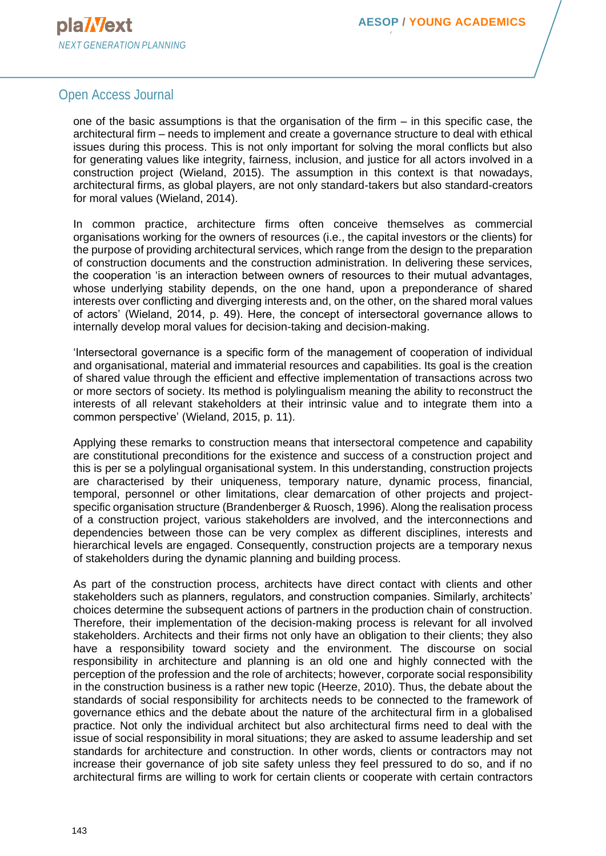## Open Access Journal

one of the basic assumptions is that the organisation of the firm – in this specific case, the architectural firm – needs to implement and create a governance structure to deal with ethical issues during this process. This is not only important for solving the moral conflicts but also for generating values like integrity, fairness, inclusion, and justice for all actors involved in a construction project (Wieland, 2015). The assumption in this context is that nowadays, architectural firms, as global players, are not only standard-takers but also standard-creators for moral values (Wieland, 2014).

In common practice, architecture firms often conceive themselves as commercial organisations working for the owners of resources (i.e., the capital investors or the clients) for the purpose of providing architectural services, which range from the design to the preparation of construction documents and the construction administration. In delivering these services, the cooperation 'is an interaction between owners of resources to their mutual advantages, whose underlying stability depends, on the one hand, upon a preponderance of shared interests over conflicting and diverging interests and, on the other, on the shared moral values of actors' (Wieland, 2014, p. 49). Here, the concept of intersectoral governance allows to internally develop moral values for decision-taking and decision-making.

'Intersectoral governance is a specific form of the management of cooperation of individual and organisational, material and immaterial resources and capabilities. Its goal is the creation of shared value through the efficient and effective implementation of transactions across two or more sectors of society. Its method is polylingualism meaning the ability to reconstruct the interests of all relevant stakeholders at their intrinsic value and to integrate them into a common perspective' (Wieland, 2015, p. 11).

Applying these remarks to construction means that intersectoral competence and capability are constitutional preconditions for the existence and success of a construction project and this is per se a polylingual organisational system. In this understanding, construction projects are characterised by their uniqueness, temporary nature, dynamic process, financial, temporal, personnel or other limitations, clear demarcation of other projects and projectspecific organisation structure (Brandenberger & Ruosch, 1996). Along the realisation process of a construction project, various stakeholders are involved, and the interconnections and dependencies between those can be very complex as different disciplines, interests and hierarchical levels are engaged. Consequently, construction projects are a temporary nexus of stakeholders during the dynamic planning and building process.

As part of the construction process, architects have direct contact with clients and other stakeholders such as planners, regulators, and construction companies. Similarly, architects' choices determine the subsequent actions of partners in the production chain of construction. Therefore, their implementation of the decision-making process is relevant for all involved stakeholders. Architects and their firms not only have an obligation to their clients; they also have a responsibility toward society and the environment. The discourse on social responsibility in architecture and planning is an old one and highly connected with the perception of the profession and the role of architects; however, corporate social responsibility in the construction business is a rather new topic (Heerze, 2010). Thus, the debate about the standards of social responsibility for architects needs to be connected to the framework of governance ethics and the debate about the nature of the architectural firm in a globalised practice. Not only the individual architect but also architectural firms need to deal with the issue of social responsibility in moral situations; they are asked to assume leadership and set standards for architecture and construction. In other words, clients or contractors may not increase their governance of job site safety unless they feel pressured to do so, and if no architectural firms are willing to work for certain clients or cooperate with certain contractors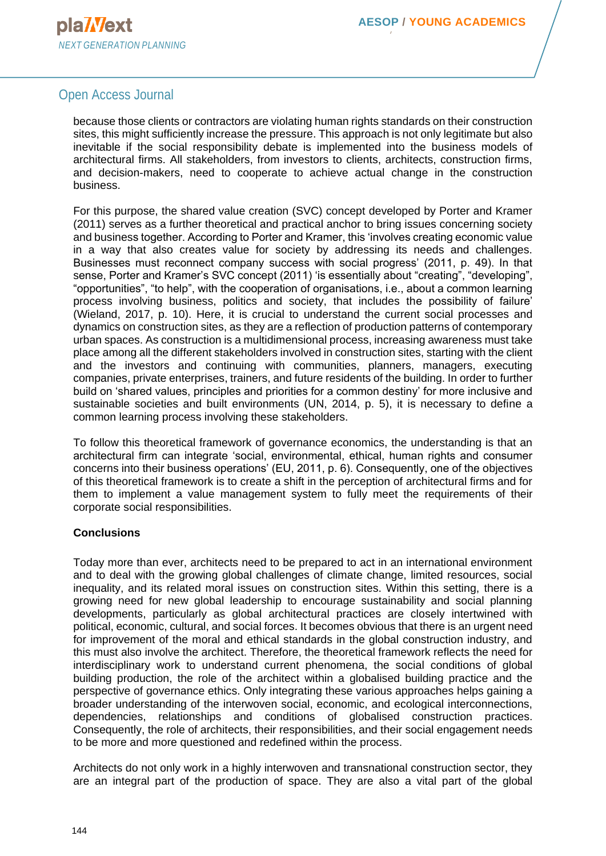# Open Access Journal

because those clients or contractors are violating human rights standards on their construction sites, this might sufficiently increase the pressure. This approach is not only legitimate but also inevitable if the social responsibility debate is implemented into the business models of architectural firms. All stakeholders, from investors to clients, architects, construction firms, and decision-makers, need to cooperate to achieve actual change in the construction business.

For this purpose, the shared value creation (SVC) concept developed by Porter and Kramer (2011) serves as a further theoretical and practical anchor to bring issues concerning society and business together. According to Porter and Kramer, this 'involves creating economic value in a way that also creates value for society by addressing its needs and challenges. Businesses must reconnect company success with social progress' (2011, p. 49). In that sense, Porter and Kramer's SVC concept (2011) 'is essentially about "creating", "developing", "opportunities", "to help", with the cooperation of organisations, i.e., about a common learning process involving business, politics and society, that includes the possibility of failure' (Wieland, 2017, p. 10). Here, it is crucial to understand the current social processes and dynamics on construction sites, as they are a reflection of production patterns of contemporary urban spaces. As construction is a multidimensional process, increasing awareness must take place among all the different stakeholders involved in construction sites, starting with the client and the investors and continuing with communities, planners, managers, executing companies, private enterprises, trainers, and future residents of the building. In order to further build on 'shared values, principles and priorities for a common destiny' for more inclusive and sustainable societies and built environments (UN, 2014, p. 5), it is necessary to define a common learning process involving these stakeholders.

To follow this theoretical framework of governance economics, the understanding is that an architectural firm can integrate 'social, environmental, ethical, human rights and consumer concerns into their business operations' (EU, 2011, p. 6). Consequently, one of the objectives of this theoretical framework is to create a shift in the perception of architectural firms and for them to implement a value management system to fully meet the requirements of their corporate social responsibilities.

## **Conclusions**

Today more than ever, architects need to be prepared to act in an international environment and to deal with the growing global challenges of climate change, limited resources, social inequality, and its related moral issues on construction sites. Within this setting, there is a growing need for new global leadership to encourage sustainability and social planning developments, particularly as global architectural practices are closely intertwined with political, economic, cultural, and social forces. It becomes obvious that there is an urgent need for improvement of the moral and ethical standards in the global construction industry, and this must also involve the architect. Therefore, the theoretical framework reflects the need for interdisciplinary work to understand current phenomena, the social conditions of global building production, the role of the architect within a globalised building practice and the perspective of governance ethics. Only integrating these various approaches helps gaining a broader understanding of the interwoven social, economic, and ecological interconnections, dependencies, relationships and conditions of globalised construction practices. Consequently, the role of architects, their responsibilities, and their social engagement needs to be more and more questioned and redefined within the process.

Architects do not only work in a highly interwoven and transnational construction sector, they are an integral part of the production of space. They are also a vital part of the global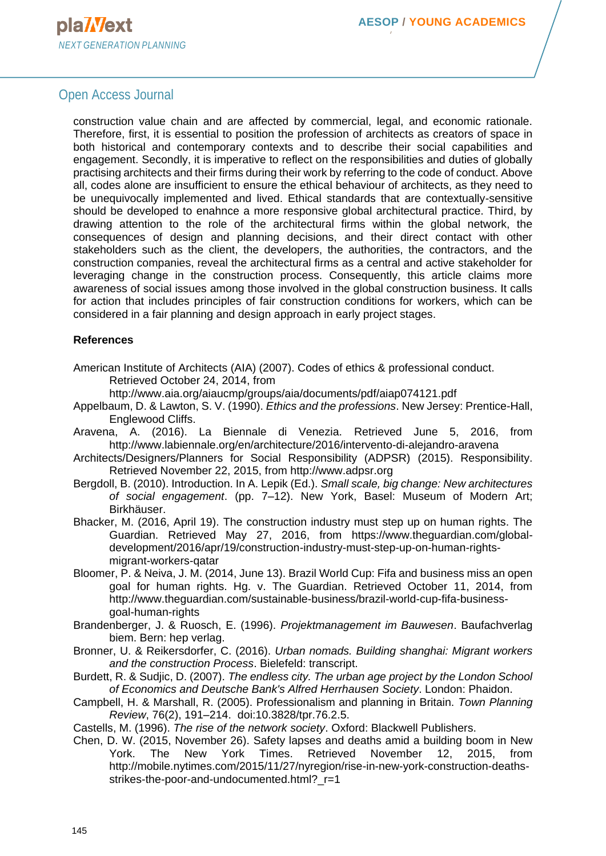## Open Access Journal

construction value chain and are affected by commercial, legal, and economic rationale. Therefore, first, it is essential to position the profession of architects as creators of space in both historical and contemporary contexts and to describe their social capabilities and engagement. Secondly, it is imperative to reflect on the responsibilities and duties of globally practising architects and their firms during their work by referring to the code of conduct. Above all, codes alone are insufficient to ensure the ethical behaviour of architects, as they need to be unequivocally implemented and lived. Ethical standards that are contextually-sensitive should be developed to enahnce a more responsive global architectural practice. Third, by drawing attention to the role of the architectural firms within the global network, the consequences of design and planning decisions, and their direct contact with other stakeholders such as the client, the developers, the authorities, the contractors, and the construction companies, reveal the architectural firms as a central and active stakeholder for leveraging change in the construction process. Consequently, this article claims more awareness of social issues among those involved in the global construction business. It calls for action that includes principles of fair construction conditions for workers, which can be considered in a fair planning and design approach in early project stages.

#### **References**

American Institute of Architects (AIA) (2007). Codes of ethics & professional conduct. Retrieved October 24, 2014, from

<http://www.aia.org/aiaucmp/groups/aia/documents/pdf/aiap074121.pdf>

- Appelbaum, D. & Lawton, S. V. (1990). *Ethics and the professions*. [New Jersey:](https://en.wikipedia.org/wiki/Upper_Saddle_River,_New_Jersey) Prentice-Hall, Englewood Cliffs.
- Aravena, A. (2016). La Biennale di Venezia. Retrieved June 5, 2016, from <http://www.labiennale.org/en/architecture/2016/intervento-di-alejandro-aravena>
- Architects/Designers/Planners for Social Responsibility (ADPSR) (2015). Responsibility. Retrieved November 22, 2015, from [http://www.adpsr.org](http://www.adpsr.org/)
- Bergdoll, B. (2010). Introduction. In A. Lepik (Ed.). *Small scale, big change: New architectures of social engagement*. (pp. 7–12). New York, Basel: Museum of Modern Art; Birkhäuser.
- Bhacker, M. (2016, April 19). The construction industry must step up on human rights. The Guardian. Retrieved May 27, 2016, from [https://www.theguardian.com/global](https://www.theguardian.com/global-development/2016/apr/19/construction-industry-must-step-up-on-human-rights-migrant-workers-qatar)[development/2016/apr/19/construction-industry-must-step-up-on-human-rights](https://www.theguardian.com/global-development/2016/apr/19/construction-industry-must-step-up-on-human-rights-migrant-workers-qatar)[migrant-workers-qatar](https://www.theguardian.com/global-development/2016/apr/19/construction-industry-must-step-up-on-human-rights-migrant-workers-qatar)
- Bloomer, P. & Neiva, J. M. (2014, June 13). Brazil World Cup: Fifa and business miss an open goal for human rights. Hg. v. The Guardian. Retrieved October 11, 2014, from [http://www.theguardian.com/sustainable-business/brazil-world-cup-fifa-business](http://www.theguardian.com/sustainable-business/brazil-world-cup-fifa-business-goal-human-rights)[goal-human-rights](http://www.theguardian.com/sustainable-business/brazil-world-cup-fifa-business-goal-human-rights)
- Brandenberger, J. & Ruosch, E. (1996). *Projektmanagement im Bauwesen*. Baufachverlag biem. Bern: hep verlag.
- Bronner, U. & Reikersdorfer, C. (2016). *Urban nomads. Building shanghai: Migrant workers and the construction Process*. Bielefeld: transcript.
- Burdett, R. & Sudjic, D. (2007). *The endless city. The urban age project by the London School of Economics and Deutsche Bank's Alfred Herrhausen Society*. London: Phaidon.
- Campbell, H. & Marshall, R. (2005). Professionalism and planning in Britain. *Town Planning Review*, 76(2), 191–214. doi:10.3828/tpr.76.2.5.

Castells, M. (1996). *The rise of the network society*. Oxford: Blackwell Publishers.

Chen, D. W. (2015, November 26). Safety lapses and deaths amid a building boom in New York. The New York Times. Retrieved November 12, 2015, from [http://mobile.nytimes.com/2015/11/27/nyregion/rise-in-new-york-construction-deaths](http://mobile.nytimes.com/2015/11/27/nyregion/rise-in-new-york-construction-deaths-strikes-the-poor-and-undocumented.html?_r=1)strikes-the-poor-and-undocumented.html? r=1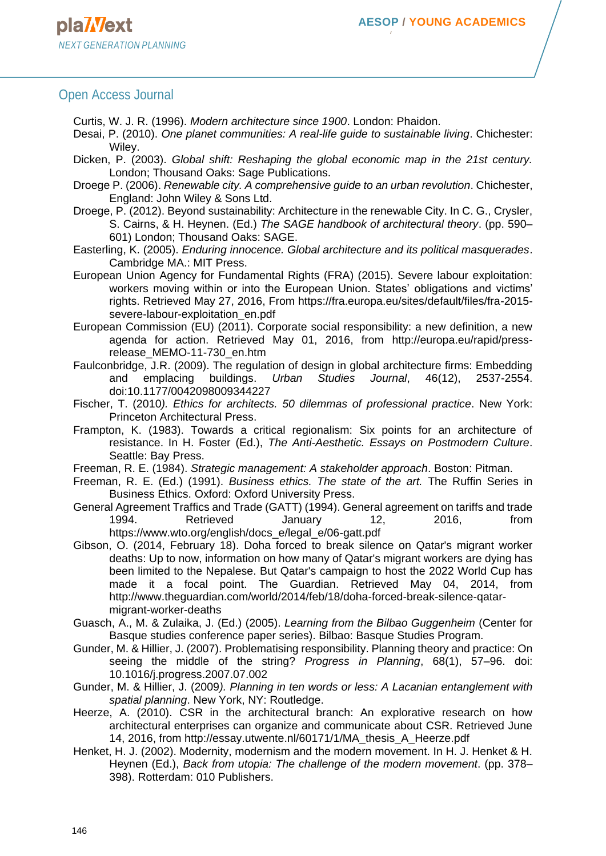#### Open Access Journal

- Curtis, W. J. R. (1996). *Modern architecture since 1900*. London: Phaidon.
- Desai, P. (2010). *One planet communities: A real-life guide to sustainable living*. Chichester: Wiley.
- Dicken, P. (2003). *Global shift: Reshaping the global economic map in the 21st century.* London; Thousand Oaks: Sage Publications.
- Droege P. (2006). *Renewable city. A comprehensive guide to an urban revolution*. Chichester, England: John Wiley & Sons Ltd.
- Droege, P. (2012). Beyond sustainability: Architecture in the renewable City. In C. G., Crysler, S. Cairns, & H. Heynen. (Ed.) *The SAGE handbook of architectural theory*. (pp. 590– 601) London; Thousand Oaks: SAGE.
- Easterling, K. (2005). *Enduring innocence. Global architecture and its political masquerades*. Cambridge MA.: MIT Press.
- European Union Agency for Fundamental Rights (FRA) (2015). Severe labour exploitation: workers moving within or into the European Union. States' obligations and victims' rights. Retrieved May 27, 2016, From [https://fra.europa.eu/sites/default/files/fra-2015](https://fra.europa.eu/sites/default/files/fra-2015-severe-labour-exploitation_en.pdf) [severe-labour-exploitation\\_en.pdf](https://fra.europa.eu/sites/default/files/fra-2015-severe-labour-exploitation_en.pdf)
- European Commission (EU) (2011). Corporate social responsibility: a new definition, a new agenda for action. Retrieved May 01, 2016, from [http://europa.eu/rapid/press](http://europa.eu/rapid/press-release_MEMO-11-730_en.htm)[release\\_MEMO-11-730\\_en.htm](http://europa.eu/rapid/press-release_MEMO-11-730_en.htm)
- Faulconbridge, J.R. (2009). The regulation of design in global architecture firms: Embedding and emplacing buildings. *Urban Studies Journal*, 46(12), 2537-2554. doi:10.1177/0042098009344227
- Fischer, T. (2010*). Ethics for architects. 50 dilemmas of professional practice*. New York: Princeton Architectural Press.
- Frampton, K. (1983). Towards a critical regionalism: Six points for an architecture of resistance. In H. Foster (Ed.), *The Anti-Aesthetic. Essays on Postmodern Culture*. Seattle: Bay Press.
- Freeman, R. E. (1984). *Strategic management: A stakeholder approach*. Boston: Pitman.
- Freeman, R. E. (Ed.) (1991). *Business ethics. The state of the art.* The Ruffin Series in Business Ethics. Oxford: Oxford University Press.
- General Agreement Traffics and Trade (GATT) (1994). General agreement on tariffs and trade 1994. Retrieved January 12, 2016, from [https://www.wto.org/english/docs\\_e/legal\\_e/06-gatt.pdf](https://www.wto.org/english/docs_e/legal_e/06-gatt.pdf)
- Gibson, O. (2014, February 18). Doha forced to break silence on Qatar's migrant worker deaths: Up to now, information on how many of Qatar's migrant workers are dying has been limited to the Nepalese. But Qatar's campaign to host the 2022 World Cup has made it a focal point. The Guardian. Retrieved May 04, 2014, from [http://www.theguardian.com/world/2014/feb/18/doha-forced-break-silence-qatar](http://www.theguardian.com/world/2014/feb/18/doha-forced-break-silence-qatar-migrant-worker-deaths)[migrant-worker-deaths](http://www.theguardian.com/world/2014/feb/18/doha-forced-break-silence-qatar-migrant-worker-deaths)
- Guasch, A., M. & Zulaika, J. (Ed.) (2005). *Learning from the Bilbao Guggenheim* (Center for Basque studies conference paper series). Bilbao: Basque Studies Program.
- Gunder, M. & Hillier, J. (2007). Problematising responsibility. Planning theory and practice: On seeing the middle of the string? *Progress in Planning*, 68(1), 57–96. doi: 10.1016/j.progress.2007.07.002
- Gunder, M. & Hillier, J. (2009*). Planning in ten words or less: A Lacanian entanglement with spatial planning*. New York, NY: Routledge.
- Heerze, A. (2010). CSR in the architectural branch: An explorative research on how architectural enterprises can organize and communicate about CSR. Retrieved June 14, 2016, from [http://essay.utwente.nl/60171/1/MA\\_thesis\\_A\\_Heerze.pdf](http://essay.utwente.nl/60171/1/MA_thesis_A_Heerze.pdf)
- Henket, H. J. (2002). Modernity, modernism and the modern movement. In H. J. Henket & H. Heynen (Ed.), *Back from utopia: The challenge of the modern movement*. (pp. 378– 398). Rotterdam: 010 Publishers.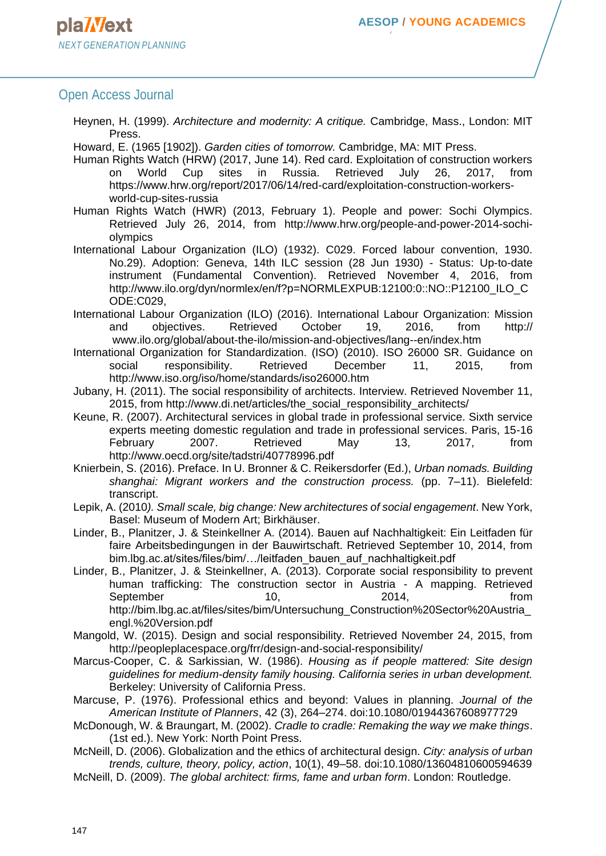## Open Access Journal

Heynen, H. (1999). *Architecture and modernity: A critique.* Cambridge, Mass., London: MIT Press.

Howard, E. (1965 [1902]). *Garden cities of tomorrow.* Cambridge, MA: MIT Press.

Human Rights Watch (HRW) (2017, June 14). Red card. Exploitation of construction workers on World Cup sites in Russia. Retrieved July 26, 2017, from [https://www.hrw.org/report/2017/06/14/red-card/exploitation-construction-workers](https://www.hrw.org/report/2017/06/14/red-card/exploitation-construction-workers-world-cup-sites-russia)[world-cup-sites-russia](https://www.hrw.org/report/2017/06/14/red-card/exploitation-construction-workers-world-cup-sites-russia)

Human Rights Watch (HWR) (2013, February 1). People and power: Sochi Olympics. Retrieved July 26, 2014, from [http://www.hrw.org/people-and-power-2014-sochi](http://www.hrw.org/people-and-power-2014-sochi-olympics)[olympics](http://www.hrw.org/people-and-power-2014-sochi-olympics)

- International Labour Organization (ILO) (1932). C029. Forced labour convention, 1930. No.29). Adoption: Geneva, 14th ILC session (28 Jun 1930) - Status: Up-to-date instrument (Fundamental Convention). Retrieved November 4, 2016, from [http://www.ilo.org/dyn/normlex/en/f?p=NORMLEXPUB:12100:0::NO::P12100\\_ILO\\_C](http://www.ilo.org/dyn/normlex/en/f?p=NORMLEXPUB:12100:0::NO::P12100_ILO_CODE:C029) [ODE:C029,](http://www.ilo.org/dyn/normlex/en/f?p=NORMLEXPUB:12100:0::NO::P12100_ILO_CODE:C029)
- International Labour Organization (ILO) (2016). International Labour Organization: Mission and objectives. Retrieved October 19, 2016, from http:// www.ilo.org/global/about-the-ilo/mission-and-objectives/lang--en/index.htm
- International Organization for Standardization. (ISO) (2010). ISO 26000 SR. Guidance on social responsibility. Retrieved December 11, 2015, from <http://www.iso.org/iso/home/standards/iso26000.htm>
- Jubany, H. (2011). The social responsibility of architects. Interview. Retrieved November 11, 2015, from [http://www.di.net/articles/the\\_social\\_responsibility\\_architects/](http://www.di.net/articles/the_social_responsibility_architects/)
- Keune, R. (2007). Architectural services in global trade in professional service. Sixth service experts meeting domestic regulation and trade in professional services. Paris, 15-16 February 2007. Retrieved May 13, 2017, from <http://www.oecd.org/site/tadstri/40778996.pdf>
- Knierbein, S. (2016). Preface. In U. Bronner & C. Reikersdorfer (Ed.), *Urban nomads. Building shanghai: Migrant workers and the construction process.* (pp. 7–11). Bielefeld: transcript.
- Lepik, A. (2010*). Small scale, big change: New architectures of social engagement*. New York, Basel: Museum of Modern Art; Birkhäuser.
- Linder, B., Planitzer, J. & Steinkellner A. (2014). Bauen auf Nachhaltigkeit: Ein Leitfaden für faire Arbeitsbedingungen in der Bauwirtschaft. Retrieved September 10, 2014, from bim.lbg.ac.at/sites/files/bim/…/leitfaden\_bauen\_auf\_nachhaltigkeit.pdf
- Linder, B., Planitzer, J. & Steinkellner, A. (2013). Corporate social responsibility to prevent human trafficking: The construction sector in Austria - A mapping. Retrieved September 10, 2014, from [http://bim.lbg.ac.at/files/sites/bim/Untersuchung\\_Construction%20Sector%20Austria\\_](http://bim.lbg.ac.at/files/sites/bim/Untersuchung_Construction%20Sector%20Austria_engl.%20Version.pdf) [engl.%20Version.pdf](http://bim.lbg.ac.at/files/sites/bim/Untersuchung_Construction%20Sector%20Austria_engl.%20Version.pdf)
- Mangold, W. (2015). Design and social responsibility. Retrieved November 24, 2015, from <http://peopleplacespace.org/frr/design-and-social-responsibility/>
- Marcus-Cooper, C. & Sarkissian, W. (1986). *Housing as if people mattered: Site design guidelines for medium-density family housing. California series in urban development.* Berkeley: University of California Press.
- Marcuse, P. (1976). Professional ethics and beyond: Values in planning. *Journal of the American Institute of Planners*, 42 (3), 264–274. doi:10.1080/01944367608977729
- McDonough, W. & Braungart, M. (2002). *Cradle to cradle: Remaking the way we make things*. (1st ed.). New York: North Point Press.
- McNeill, D. (2006). Globalization and the ethics of architectural design. *City: analysis of urban trends, culture, theory, policy, action*, 10(1), 49–58. doi:10.1080/13604810600594639
- McNeill, D. (2009). *The global architect: firms, fame and urban form*. London: Routledge.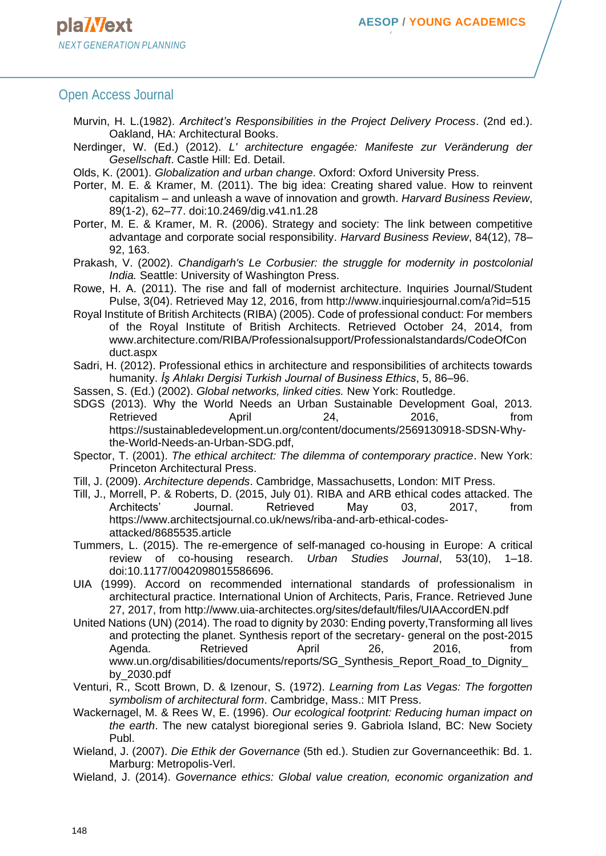#### Open Access Journal

- Murvin, H. L.(1982). *Architect's Responsibilities in the Project Delivery Process*. (2nd ed.). Oakland, HA: Architectural Books.
- Nerdinger, W. (Ed.) (2012). *L' architecture engagée: Manifeste zur Veränderung der Gesellschaft*. Castle Hill: Ed. Detail.
- Olds, K. (2001). *Globalization and urban change*. Oxford: Oxford University Press.
- Porter, M. E. & Kramer, M. (2011). The big idea: Creating shared value. How to reinvent capitalism – and unleash a wave of innovation and growth. *Harvard Business Review*, 89(1-2), 62–77. doi:10.2469/dig.v41.n1.28
- Porter, M. E. & Kramer, M. R. (2006). Strategy and society: The link between competitive advantage and corporate social responsibility. *Harvard Business Review*, 84(12), 78– 92, 163.
- Prakash, V. (2002). *Chandigarh's Le Corbusier: the struggle for modernity in postcolonial India.* Seattle: University of Washington Press.
- Rowe, H. A. (2011). The rise and fall of modernist architecture. Inquiries Journal/Student Pulse, 3(04). Retrieved May 12, 2016, from<http://www.inquiriesjournal.com/a?id=515>
- Royal Institute of British Architects (RIBA) (2005). Code of professional conduct: For members of the Royal Institute of British Architects. Retrieved October 24, 2014, from www.architecture.com/RIBA/Professionalsupport/Professionalstandards/CodeOfCon duct.aspx
- Sadri, H. (2012). Professional ethics in architecture and responsibilities of architects towards humanity. *İş Ahlakı Dergisi Turkish Journal of Business Ethics*, 5, 86–96.
- Sassen, S. (Ed.) (2002). *Global networks, linked cities.* New York: Routledge.
- SDGS (2013). Why the World Needs an Urban Sustainable Development Goal, 2013. Retrieved April 24, 2016, from [https://sustainabledevelopment.un.org/content/documents/2569130918-SDSN-Why](https://sustainabledevelopment.un.org/content/documents/2569130918-SDSN-Why-the-World-Needs-an-Urban-SDG.pdf)[the-World-Needs-an-Urban-SDG.pdf,](https://sustainabledevelopment.un.org/content/documents/2569130918-SDSN-Why-the-World-Needs-an-Urban-SDG.pdf)
- Spector, T. (2001). *The ethical architect: The dilemma of contemporary practice*. New York: Princeton Architectural Press.
- Till, J. (2009). *Architecture depends*. Cambridge, Massachusetts, London: MIT Press.
- Till, J., Morrell, P. & Roberts, D. (2015, July 01). RIBA and ARB ethical codes attacked. The Architects' Journal. Retrieved May 03, 2017, from [https://www.architectsjournal.co.uk/news/riba-and-arb-ethical-codes](https://www.architectsjournal.co.uk/news/riba-and-arb-ethical-codes-attacked/8685535.article)[attacked/8685535.article](https://www.architectsjournal.co.uk/news/riba-and-arb-ethical-codes-attacked/8685535.article)
- Tummers, L. (2015). The re-emergence of self-managed co-housing in Europe: A critical review of co-housing research. *Urban Studies Journal*, 53(10), 1–18. doi:10.1177/0042098015586696.
- UIA (1999). Accord on recommended international standards of professionalism in architectural practice. International Union of Architects, Paris, France. Retrieved June 27, 2017, from<http://www.uia-architectes.org/sites/default/files/UIAAccordEN.pdf>
- United Nations (UN) (2014). The road to dignity by 2030: Ending poverty,Transforming all lives and protecting the planet. Synthesis report of the secretary- general on the post-2015 Agenda. Retrieved April 26, 2016, from www.un.org/disabilities/documents/reports/SG\_Synthesis\_Report\_Road\_to\_Dignity\_ by\_2030.pdf
- Venturi, R., Scott Brown, D. & Izenour, S. (1972). *Learning from Las Vegas: The forgotten symbolism of architectural form*. Cambridge, Mass.: MIT Press.
- Wackernagel, M. & Rees W, E. (1996). *Our ecological footprint: Reducing human impact on the earth*. The new catalyst bioregional series 9. Gabriola Island, BC: New Society Publ.
- Wieland, J. (2007). *Die Ethik der Governance* (5th ed.). Studien zur Governanceethik: Bd. 1. Marburg: Metropolis-Verl.
- Wieland, J. (2014). *Governance ethics: Global value creation, economic organization and*